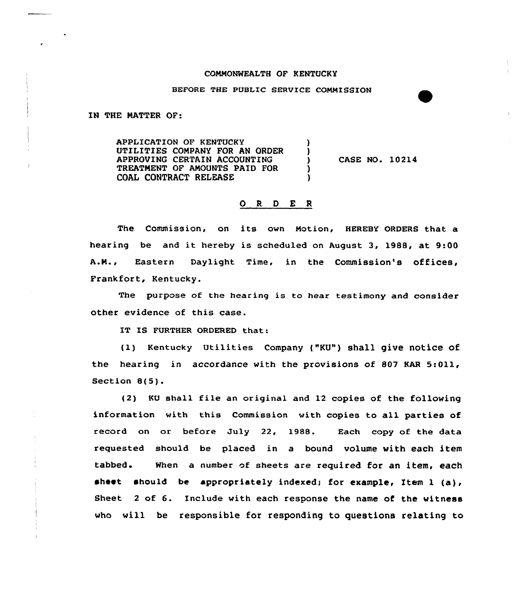## CONNONWEALTH OF KENTUCKY

## BEFORE THE PUBLIC SERVICE CONMISSION

IN THE NATTER OF:

APPLICATION OF KENTUCKY UTILITIES CONPANY FOR AN ORDER APPROVING CERTAIN ACCOUNTING TREATNENT OF ANOUNTS PAID FOR COAL CONTRACT RELEASE

CASE NO. 10214

## 0 <sup>R</sup> <sup>D</sup> E <sup>R</sup>

The Commission, on its own Notion, HEREBY 0RDER8 that a hearing be and it hereby is scheduled on August 3, 1988, at 9:00 A.N., Eastern Daylight Time, in the Commission's offices, Frankfort, Kentucky.

The purpose of the hearing is to hear testimony and consider other evidence of this case.

IT IS FURTHER ORDERED that:

(1) Kentucky Utilities Company ("KU") shall give notice of the hearing in accordance with the provisions of 807 KAR 5:011, Section 8(5).

 $(2)$  KU shall file an original and 12 copies of the following information with this Commission with copies to all parties of record on or before July 22, 1988. Each copy of the data requested should be placed in a bound volume with each item tabbed. When a number of sheets are required for an item, each sheet should be appropriately indexed; for example, Item 1 (a), Sheet <sup>2</sup> of 6. Include with each response the name of the witness who will be responsible for responding to questions relating to